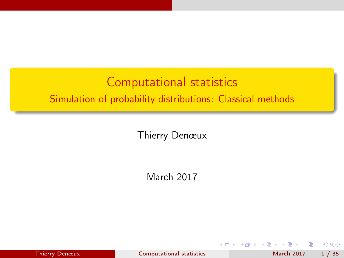# <span id="page-0-0"></span>Computational statistics Simulation of probability distributions: Classical methods

Thierry Denœux

March 2017

4 D F

Thierry Denœux [Computational statistics](#page-34-0) March 2017 1 / 35

э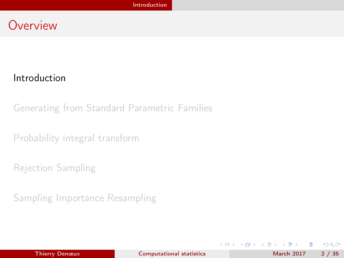#### <span id="page-1-0"></span>**Overview**

#### [Introduction](#page-1-0)

[Generating from Standard Parametric Families](#page-7-0)

[Probability integral transform](#page-10-0)

[Rejection Sampling](#page-14-0)

[Sampling Importance Resampling](#page-26-0)

4 ロ ▶ (母

÷.

 $A \equiv 3$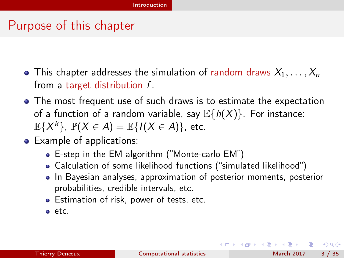#### <span id="page-2-0"></span>Purpose of this chapter

- This chapter addresses the simulation of random draws  $X_1, \ldots, X_n$ from a target distribution f.
- The most frequent use of such draws is to estimate the expectation of a function of a random variable, say  $\mathbb{E}{h(X)}$ . For instance:  $\mathbb{E}\{X^k\}$ ,  $\mathbb{P}(X \in A) = \mathbb{E}\{I(X \in A)\}$ , etc.
- Example of applications:
	- E-step in the EM algorithm ("Monte-carlo EM")
	- Calculation of some likelihood functions ("simulated likelihood")
	- In Bayesian analyses, approximation of posterior moments, posterior probabilities, credible intervals, etc.
	- Estimation of risk, power of tests, etc.
	- etc.

 $\Omega$ 

イロト イ押ト イヨト イヨト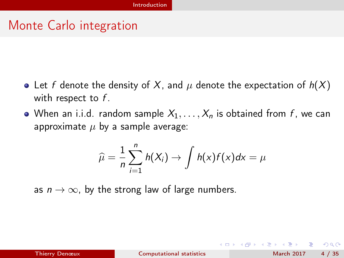# <span id="page-3-0"></span>Monte Carlo integration

- Let f denote the density of X, and  $\mu$  denote the expectation of  $h(X)$ with respect to  $f$ .
- When an i.i.d. random sample  $X_1, \ldots, X_n$  is obtained from f, we can approximate  $\mu$  by a sample average:

$$
\widehat{\mu} = \frac{1}{n} \sum_{i=1}^{n} h(X_i) \rightarrow \int h(x) f(x) dx = \mu
$$

as  $n \to \infty$ , by the strong law of large numbers.

 $\Omega$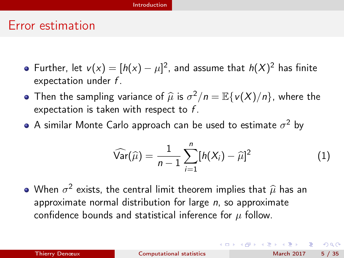#### [Introduction](#page-4-0)

#### <span id="page-4-0"></span>Error estimation

- Further, let  $v(x) = [h(x) \mu]^2$ , and assume that  $h(X)^2$  has finite expectation under  $f$ .
- Then the sampling variance of  $\hat{\mu}$  is  $\sigma^2/n = \mathbb{E}\{v(X)/n\}$ , where the expectation is taken with respect to f expectation is taken with respect to  $f$ .
- A similar Monte Carlo approach can be used to estimate  $\sigma^2$  by

$$
\widehat{\text{Var}}(\widehat{\mu}) = \frac{1}{n-1} \sum_{i=1}^{n} [h(X_i) - \widehat{\mu}]^2
$$
 (1)

When  $\sigma^2$  exists, the central limit theorem implies that  $\hat{\mu}$  has an anomovimate nermal distribution for large n so anomovimate approximate normal distribution for large  $n$ , so approximate confidence bounds and statistical inference for  $\mu$  follow.

| Thierry Denœux |
|----------------|
|                |

 $\Omega$ 

 $($  ロ )  $($   $($  $)$   $)$   $($   $)$   $($   $)$   $($   $)$   $($   $)$   $($   $)$   $($   $)$   $($   $)$   $($   $)$   $($   $)$   $($   $)$   $($   $)$   $($   $)$   $($   $)$   $($   $)$   $($   $)$   $($   $)$   $($   $)$   $($   $)$   $($   $)$   $($   $)$   $($   $)$   $($   $)$   $($   $)$   $($   $)$   $($   $)$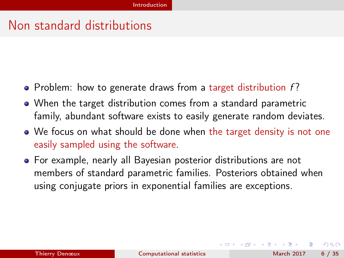#### <span id="page-5-0"></span>Non standard distributions

- Problem: how to generate draws from a target distribution  $f$ ?
- When the target distribution comes from a standard parametric family, abundant software exists to easily generate random deviates.
- We focus on what should be done when the target density is not one easily sampled using the software.
- For example, nearly all Bayesian posterior distributions are not members of standard parametric families. Posteriors obtained when using conjugate priors in exponential families are exceptions.

 $\Omega$ 

(ロ) (何) (ヨ) (ヨ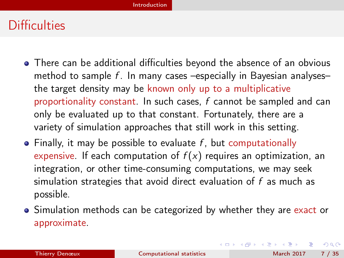# <span id="page-6-0"></span>**Difficulties**

- There can be additional difficulties beyond the absence of an obvious method to sample  $f$ . In many cases –especially in Bayesian analyses– the target density may be known only up to a multiplicative proportionality constant. In such cases,  $f$  cannot be sampled and can only be evaluated up to that constant. Fortunately, there are a variety of simulation approaches that still work in this setting.
- $\bullet$  Finally, it may be possible to evaluate f, but computationally expensive. If each computation of  $f(x)$  requires an optimization, an integration, or other time-consuming computations, we may seek simulation strategies that avoid direct evaluation of f as much as possible.
- Simulation methods can be categorized by whether they are exact or approximate.

 $QQ$ 

 $($  ロ )  $($   $($  $)$   $)$   $($   $)$   $($   $)$   $($   $)$   $($   $)$   $($   $)$   $($   $)$   $($   $)$   $($   $)$   $($   $)$   $($   $)$   $($   $)$   $($   $)$   $($   $)$   $($   $)$   $($   $)$   $($   $)$   $($   $)$   $($   $)$   $($   $)$   $($   $)$   $($   $)$   $($   $)$   $($   $)$   $($   $)$   $($   $)$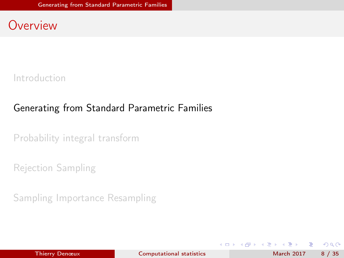#### <span id="page-7-0"></span>**Overview**

[Introduction](#page-1-0)

#### [Generating from Standard Parametric Families](#page-7-0)

[Probability integral transform](#page-10-0)

[Rejection Sampling](#page-14-0)

[Sampling Importance Resampling](#page-26-0)

4 ロ ▶ (母

÷.

化重新润滑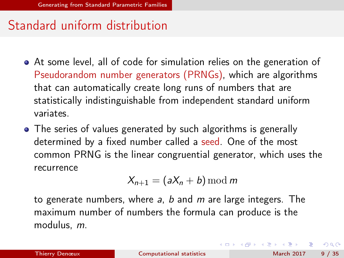# <span id="page-8-0"></span>Standard uniform distribution

- At some level, all of code for simulation relies on the generation of Pseudorandom number generators (PRNGs), which are algorithms that can automatically create long runs of numbers that are statistically indistinguishable from independent standard uniform variates.
- The series of values generated by such algorithms is generally determined by a fixed number called a seed. One of the most common PRNG is the linear congruential generator, which uses the recurrence

$$
X_{n+1} = (aX_n + b) \bmod m
$$

to generate numbers, where a, b and m are large integers. The maximum number of numbers the formula can produce is the modulus, m.

 $QQ$ 

イロト イ押ト イヨト イヨト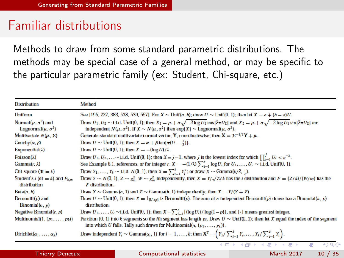## <span id="page-9-0"></span>Familiar distributions

Methods to draw from some standard parametric distributions. The methods may be special case of a general method, or may be specific to the particular parametric family (ex: Student, Chi-square, etc.)

| <b>Distribution</b>                                         | Method                                                                                                                                                                                                                                                                                           |
|-------------------------------------------------------------|--------------------------------------------------------------------------------------------------------------------------------------------------------------------------------------------------------------------------------------------------------------------------------------------------|
| Uniform                                                     | See [195, 227, 383, 538, 539, 557]. For $X \sim \text{Unif}(a, b)$ ; draw $U \sim \text{Unif}(0, 1)$ ; then let $X = a + (b - a)U$ .                                                                                                                                                             |
| Normal $(\mu, \sigma^2)$ and<br>Lognormal $(\mu, \sigma^2)$ | Draw $U_1, U_2 \sim 1.1$ .d. Unif(0, 1); then $X_1 = \mu + \sigma \sqrt{-2 \log U_1 \cos\{2\pi U_2\}}$ and $X_2 = \mu + \sigma \sqrt{-2 \log U_1 \sin\{2\pi U_2\}}$ are<br>independent $N(\mu, \sigma^2)$ . If $X \sim N(\mu, \sigma^2)$ then $\exp\{X\} \sim \text{Lognormal}(\mu, \sigma^2)$ . |
| Multivariate $N(\mu, \Sigma)$                               | Generate standard multivariate normal vector, Y, coordinatewise; then $X = \Sigma^{-1/2}Y + \mu$ .                                                                                                                                                                                               |
| Cauchy $(\alpha, \beta)$                                    | Draw $U \sim \text{Unif}(0, 1)$ ; then $X = \alpha + \beta \tan{\pi(U - \frac{1}{2})}$ .                                                                                                                                                                                                         |
| Exponential( $\lambda$ )                                    | Draw $U \sim$ Unif(0, 1); then $X = -(\log U)/\lambda$ .                                                                                                                                                                                                                                         |
| Poisson( $\lambda$ )                                        | Draw $U_1, U_2, \ldots \sim 1.1.$ d. Unif $(0, 1)$ ; then $X = j - 1$ , where j is the lowest index for which $\prod_{i=1}^{j} U_i < e^{-\lambda}$ .                                                                                                                                             |
| $Gamma(r, \lambda)$                                         | See Example 6.1, references, or for integer r, $X = -(1/\lambda) \sum_{i=1}^{r} \log U_i$ for $U_1, \ldots, U_r \sim 1.1$ .d. Unif(0, 1).                                                                                                                                                        |
| Chi-square $(df = k)$                                       | Draw $Y_1, \ldots, Y_k \sim 1.1$ .d. $N(0, 1)$ , then $X = \sum_{i=1}^k Y_i^2$ ; or draw $X \sim \text{Gamma}(k/2, \frac{1}{2})$ .                                                                                                                                                               |
| Student's $t$ (df = k) and $F_{k,m}$<br>distribution        | Draw $Y \sim N(0, 1)$ , $Z \sim \chi^2$ , $W \sim \chi^2$ , independently, then $X = Y/\sqrt{Z/k}$ has the t distribution and $F = (Z/k)/(W/m)$ has the<br>F distribution.                                                                                                                       |
| Beta(a, b)                                                  | Draw $Y \sim$ Gamma(a, 1) and $Z \sim$ Gamma(b, 1) independently; then $X = Y/(Y + Z)$ .                                                                                                                                                                                                         |
| Bernoulli $(p)$ and<br>Binomial $(n, p)$                    | Draw $U \sim \text{Unif}(0, 1)$ ; then $X = 1_{\{U < p\}}$ is Bernoulli $(p)$ . The sum of <i>n</i> independent Bernoulli $(p)$ draws has a Binomial $(n, p)$<br>distribution.                                                                                                                   |
| Negative Binomial $(r, p)$                                  | Draw $U_1, \ldots, U_r \sim 1.1$ .d. Unif(0, 1); then $X = \sum_{i=1}^r \lfloor (\log U_i)/\log(1-p) \rfloor$ , and $\lfloor \cdot \rfloor$ means greatest integer.                                                                                                                              |
| Multinomial $(1, (p_1, \ldots, p_k))$                       | Partition [0, 1] into k segments so the <i>i</i> th segment has length $p_i$ . Draw $U \sim \text{Unif}(0, 1)$ ; then let X equal the index of the segment<br>into which U falls. Tally such draws for Multinomial(n, $(p_1, \ldots, p_k)$ ).                                                    |
| $Dirichlet(\alpha_1, \ldots, \alpha_k)$                     | Draw independent $Y_i \sim \text{Gamma}(\alpha_i, 1)$ for $i = 1, , k$ ; then $\mathbf{X}^T = \left(Y_1 / \sum_{i=1}^k Y_i, , Y_k / \sum_{i=1}^k Y_i\right)$ .                                                                                                                                   |
|                                                             | 4 ロ F - 4 <sub>FF</sub> F - 4 <i>E +</i> - 4 <i>E +</i><br>414<br>Ξ                                                                                                                                                                                                                              |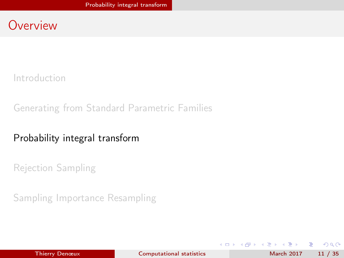#### <span id="page-10-0"></span>**Overview**

[Introduction](#page-1-0)

[Generating from Standard Parametric Families](#page-7-0)

#### [Probability integral transform](#page-10-0)

[Rejection Sampling](#page-14-0)

[Sampling Importance Resampling](#page-26-0)

÷.

医单位 医单位

4 ロ ▶ (母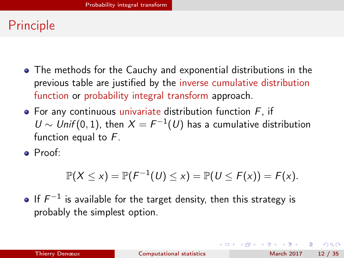# <span id="page-11-0"></span>Principle

- The methods for the Cauchy and exponential distributions in the previous table are justified by the inverse cumulative distribution function or probability integral transform approach.
- $\bullet$  For any continuous univariate distribution function  $F$ . if U ∼ Unif (0, 1), then  $X = F^{-1}(U)$  has a cumulative distribution function equal to  $F$ .
- Proof:

$$
\mathbb{P}(X \leq x) = \mathbb{P}(F^{-1}(U) \leq x) = \mathbb{P}(U \leq F(x)) = F(x).
$$

If  $F^{-1}$  is available for the target density, then this strategy is probably the simplest option.

**KORKAN KERKER SAGA**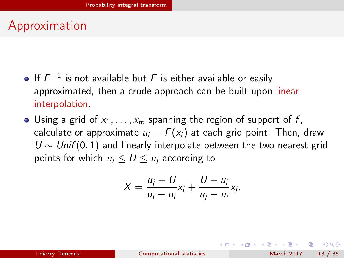# <span id="page-12-0"></span>Approximation

- If  $F^{-1}$  is not available but F is either available or easily approximated, then a crude approach can be built upon linear interpolation.
- Using a grid of  $x_1, \ldots, x_m$  spanning the region of support of f, calculate or approximate  $u_i = F(x_i)$  at each grid point. Then, draw  $U \sim Unif(0, 1)$  and linearly interpolate between the two nearest grid points for which  $u_i \leq U \leq u_i$  according to

$$
X=\frac{u_j-U}{u_j-u_i}x_i+\frac{U-u_i}{u_j-u_i}x_j.
$$

 $QQ$ 

K □ ▶ K 何 ▶ K 曰 ▶ K 曰 ▶ ...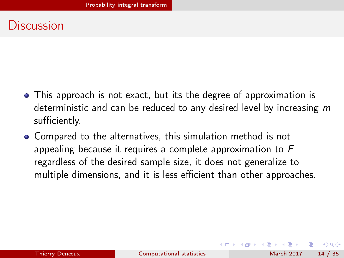#### <span id="page-13-0"></span>**Discussion**

- This approach is not exact, but its the degree of approximation is deterministic and can be reduced to any desired level by increasing  $m$ sufficiently.
- Compared to the alternatives, this simulation method is not appealing because it requires a complete approximation to F regardless of the desired sample size, it does not generalize to multiple dimensions, and it is less efficient than other approaches.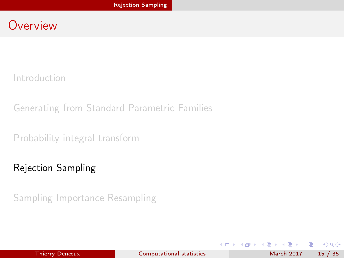#### <span id="page-14-0"></span>**Overview**

[Introduction](#page-1-0)

[Generating from Standard Parametric Families](#page-7-0)

[Probability integral transform](#page-10-0)

[Rejection Sampling](#page-14-0)

[Sampling Importance Resampling](#page-26-0)

4 ロ ▶ (母

÷.

ヨメ メラメ

**ALC**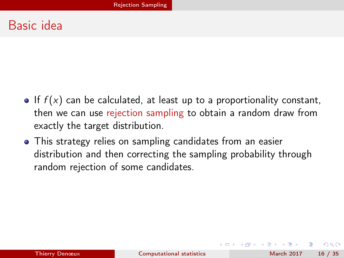#### <span id="page-15-0"></span>Basic idea

- If  $f(x)$  can be calculated, at least up to a proportionality constant, then we can use rejection sampling to obtain a random draw from exactly the target distribution.
- This strategy relies on sampling candidates from an easier distribution and then correcting the sampling probability through random rejection of some candidates.

 $\Omega$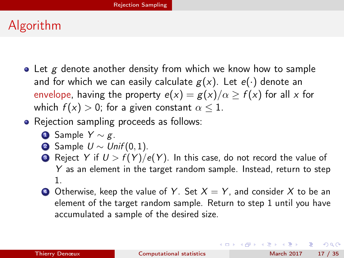# <span id="page-16-0"></span>Algorithm

- $\bullet$  Let g denote another density from which we know how to sample and for which we can easily calculate  $g(x)$ . Let  $e(\cdot)$  denote an envelope, having the property  $e(x) = g(x)/\alpha \ge f(x)$  for all x for which  $f(x) > 0$ ; for a given constant  $\alpha \leq 1$ .
- Rejection sampling proceeds as follows:
	- **4** Sample  $Y \sim g$ .
	- **2** Sample  $U \sim Unif(0,1)$ .
	- **3** Reject Y if  $U > f(Y)/e(Y)$ . In this case, do not record the value of Y as an element in the target random sample. Instead, return to step 1.
	- **4** Otherwise, keep the value of Y. Set  $X = Y$ , and consider X to be an element of the target random sample. Return to step 1 until you have accumulated a sample of the desired size.

**KORKAN KERKER SAGA**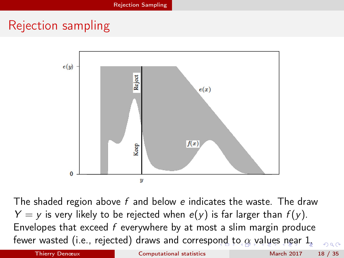# <span id="page-17-0"></span>Rejection sampling



The shaded region above  $f$  and below  $e$  indicates the waste. The draw  $Y = y$  is very likely to be rejected when  $e(y)$  is far larger than  $f(y)$ . Envelopes that exceed  $f$  everywhere by at most a slim margin produce fewer wasted (i.e., rejected) draws and corresp[ond](#page-16-0) [t](#page-18-0)[o](#page-16-0) $\alpha$  $\alpha$  $\alpha$  [v](#page-18-0)a[lu](#page-14-0)[es](#page-26-0) [n](#page-14-0)[e](#page-25-0)[ar](#page-26-0) [1](#page-0-0)[.](#page-34-0)  $\Omega$ 

Thierry Denœux **[Computational statistics](#page-0-0)** March 2017 18 / 35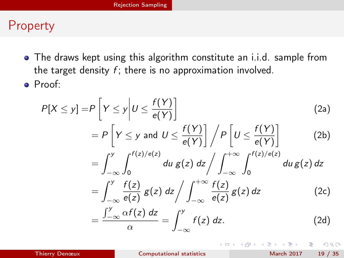#### <span id="page-18-0"></span>Property

- The draws kept using this algorithm constitute an i.i.d. sample from the target density  $f$ ; there is no approximation involved.
- Proof:

<span id="page-18-1"></span>
$$
P[X \le y] = P\left[Y \le y | U \le \frac{f(Y)}{e(Y)}\right]
$$
\n
$$
= P\left[Y \le y \text{ and } U \le \frac{f(Y)}{e(Y)}\right] / P\left[U \le \frac{f(Y)}{e(Y)}\right]
$$
\n
$$
= \int_{-\infty}^{y} \int_{0}^{f(z)/e(z)} du \, g(z) \, dz / \int_{-\infty}^{+\infty} \int_{0}^{f(z)/e(z)} du \, g(z) \, dz
$$
\n
$$
= \int_{-\infty}^{y} \frac{f(z)}{e(z)} g(z) \, dz / \int_{-\infty}^{+\infty} \frac{f(z)}{e(z)} g(z) \, dz \qquad (2c)
$$
\n
$$
= \frac{\int_{-\infty}^{y} \alpha f(z) \, dz}{\alpha} = \int_{-\infty}^{y} f(z) \, dz. \qquad (2d)
$$

**◆ ロ ▶ → イ 印** 

 $QQ$ 

э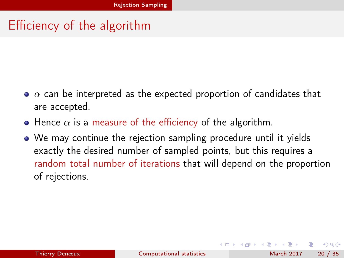# <span id="page-19-0"></span>Efficiency of the algorithm

- $\bullet$   $\alpha$  can be interpreted as the expected proportion of candidates that are accepted.
- $\bullet$  Hence  $\alpha$  is a measure of the efficiency of the algorithm.
- We may continue the rejection sampling procedure until it yields exactly the desired number of sampled points, but this requires a random total number of iterations that will depend on the proportion of rejections.

 $\Omega$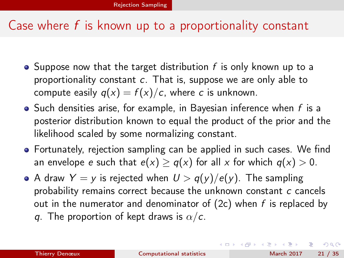#### <span id="page-20-0"></span>Case where  $f$  is known up to a proportionality constant

- Suppose now that the target distribution  $f$  is only known up to a proportionality constant c. That is, suppose we are only able to compute easily  $q(x) = f(x)/c$ , where c is unknown.
- $\bullet$  Such densities arise, for example, in Bayesian inference when  $f$  is a posterior distribution known to equal the product of the prior and the likelihood scaled by some normalizing constant.
- Fortunately, rejection sampling can be applied in such cases. We find an envelope e such that  $e(x) \geq q(x)$  for all x for which  $q(x) > 0$ .
- A draw  $Y = y$  is rejected when  $U > q(y)/e(y)$ . The sampling probability remains correct because the unknown constant c cancels out in the numerator and denominator of  $(2c)$  when f is replaced by q. The proportion of kept draws is  $\alpha/c$ .

÷.

 $QQ$ 

 $($  ロ )  $($  何 )  $($  ヨ )  $($  ヨ  $)$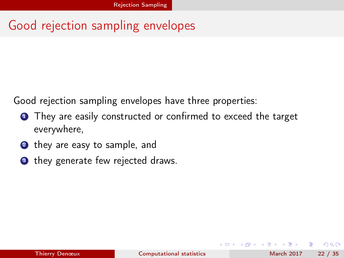# <span id="page-21-0"></span>Good rejection sampling envelopes

Good rejection sampling envelopes have three properties:

- **1** They are easily constructed or confirmed to exceed the target everywhere,
- **2** they are easy to sample, and
- <sup>3</sup> they generate few rejected draws.

4 **D** F

 $\Omega$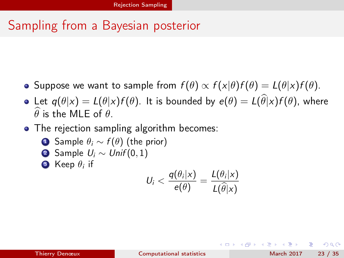# <span id="page-22-0"></span>Sampling from a Bayesian posterior

- Suppose we want to sample from  $f(\theta) \propto f(x|\theta) f(\theta) = L(\theta|x) f(\theta)$ .
- Let  $q(\theta|x) = L(\theta|x)f(\theta)$ . It is bounded by  $e(\theta) = L(\widehat{\theta}|x)f(\theta)$ , where  $\hat{\theta}$  is the MLE of  $\theta$ .
- The rejection sampling algorithm becomes:
	- **1** Sample  $\theta_i \sim f(\theta)$  (the prior)
	- 2 Sample  $U_i \sim Unif(0,1)$
	- 3 Keep  $\theta_i$  if

$$
U_i < \frac{q(\theta_i|x)}{e(\theta)} = \frac{L(\theta_i|x)}{L(\widehat{\theta}|x)}
$$

**State State** 

∢ □ ▶ ≺ n □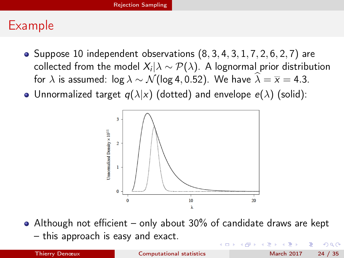#### <span id="page-23-0"></span>Example

- Suppose 10 independent observations  $(8, 3, 4, 3, 1, 7, 2, 6, 2, 7)$  are collected from the model  $X_i|\lambda \sim \mathcal{P}(\lambda).$  A lognormal prior distribution for  $\lambda$  is assumed:  $\log \lambda \sim \mathcal{N}(\log 4, 0.52)$ . We have  $\widehat{\lambda} = \overline{x} = 4.3$ .
- Unnormalized target  $q(\lambda|x)$  (dotted) and envelope  $e(\lambda)$  (solid):



Although not efficient – only about 30% of candidate draws are kept – this approach is easy and exact.  $\Omega$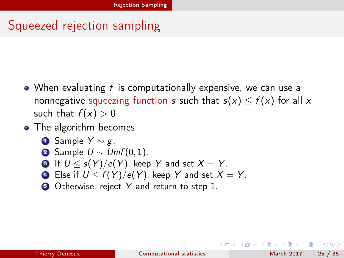# <span id="page-24-0"></span>Squeezed rejection sampling

- When evaluating  $f$  is computationally expensive, we can use a nonnegative squeezing function s such that  $s(x) \le f(x)$  for all x such that  $f(x) > 0$ .
- The algorithm becomes
	- **4** Sample  $Y \sim g$ .
	- **2** Sample  $U \sim Unif(0,1)$ .
	- **3** If  $U < s(Y)/e(Y)$ , keep Y and set  $X = Y$ .
	- 4 Else if  $U \leq f(Y)/e(Y)$ , keep Y and set  $X = Y$ .
	- **5** Otherwise, reject Y and return to step 1.

э.

 $QQ$ 

(ロ) (何) (ヨ) (ヨ)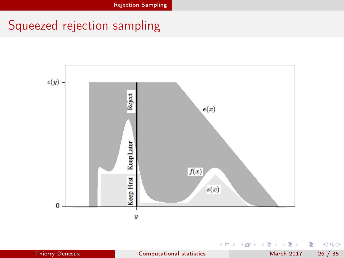# <span id="page-25-0"></span>Squeezed rejection sampling



E J.

4 0 8

 $299$ 

É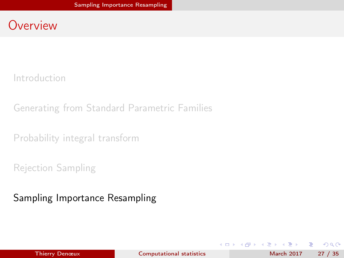#### <span id="page-26-0"></span>**Overview**

[Introduction](#page-1-0)

[Generating from Standard Parametric Families](#page-7-0)

[Probability integral transform](#page-10-0)

[Rejection Sampling](#page-14-0)

[Sampling Importance Resampling](#page-26-0)

**◆ ロ ▶ → イ 印** 

÷.

医下环医下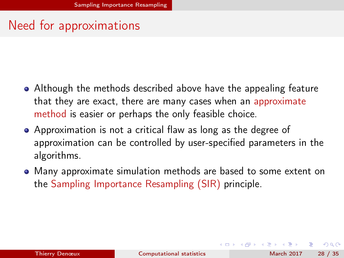# <span id="page-27-0"></span>Need for approximations

- Although the methods described above have the appealing feature that they are exact, there are many cases when an approximate method is easier or perhaps the only feasible choice.
- Approximation is not a critical flaw as long as the degree of approximation can be controlled by user-specified parameters in the algorithms.
- Many approximate simulation methods are based to some extent on the Sampling Importance Resampling (SIR) principle.

 $\Omega$ 

**(ロト イ母) イヨト イ**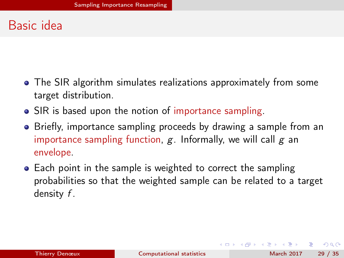# <span id="page-28-0"></span>Basic idea

- The SIR algorithm simulates realizations approximately from some target distribution.
- SIR is based upon the notion of importance sampling.
- Briefly, importance sampling proceeds by drawing a sample from an importance sampling function,  $g$ . Informally, we will call  $g$  an envelope.
- Each point in the sample is weighted to correct the sampling probabilities so that the weighted sample can be related to a target density f .

 $QQ$ 

**K ロ ト K 何 ト K ヨ ト K**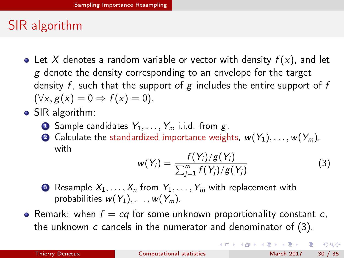# <span id="page-29-0"></span>SIR algorithm

- Let X denotes a random variable or vector with density  $f(x)$ , and let  $g$  denote the density corresponding to an envelope for the target density f, such that the support of g includes the entire support of f  $(\forall x, g(x) = 0 \Rightarrow f(x) = 0).$
- SIR algorithm:
	- **1** Sample candidates  $Y_1, \ldots, Y_m$  i.i.d. from g.
	- 2 Calculate the standardized importance weights,  $w(Y_1), \ldots, w(Y_m)$ , with

<span id="page-29-1"></span>
$$
w(Y_i) = \frac{f(Y_i)/g(Y_i)}{\sum_{j=1}^{m} f(Y_j)/g(Y_j)}
$$
(3)

 $($  ロ )  $($  何 )  $($  ヨ )  $($  ヨ  $)$ 

- **3** Resample  $X_1, \ldots, X_n$  from  $Y_1, \ldots, Y_m$  with replacement with probabilities  $w(Y_1), \ldots, w(Y_m)$ .
- Remark: when  $f = cq$  for some unknown proportionality constant c, the unknown  $c$  cancels in the numerator and denominator of  $(3)$ .

÷.

 $\Omega$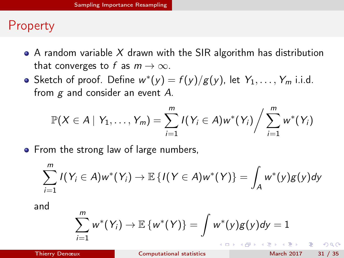## <span id="page-30-0"></span>**Property**

- A random variable X drawn with the SIR algorithm has distribution that converges to f as  $m \to \infty$ .
- Sketch of proof. Define  $w^*(y) = f(y)/g(y)$ , let  $Y_1, \ldots, Y_m$  i.i.d. from  $g$  and consider an event  $A$ .

$$
\mathbb{P}(X \in A \mid Y_1, \ldots, Y_m) = \sum_{i=1}^m I(Y_i \in A) w^*(Y_i) / \sum_{i=1}^m w^*(Y_i)
$$

• From the strong law of large numbers,

$$
\sum_{i=1}^m I(Y_i \in A)w^*(Y_i) \to \mathbb{E}\left\{I(Y \in A)w^*(Y)\right\} = \int_A w^*(y)g(y)dy
$$

and

$$
\sum_{i=1}^m w^*(Y_i) \to \mathbb{E}\left\{w^*(Y)\right\} = \int w^*(y)g(y)dy = 1
$$

 $\Omega$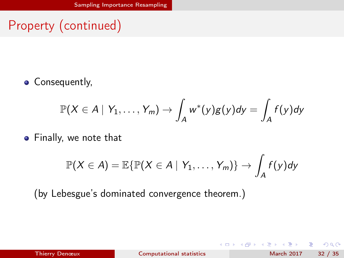# <span id="page-31-0"></span>Property (continued)

• Consequently,

$$
\mathbb{P}(X \in A \mid Y_1, \ldots, Y_m) \to \int_A w^*(y)g(y)dy = \int_A f(y)dy
$$

**•** Finally, we note that

$$
\mathbb{P}(X \in A) = \mathbb{E}\{\mathbb{P}(X \in A \mid Y_1, \ldots, Y_m)\} \rightarrow \int_A f(y)dy
$$

(by Lebesgue's dominated convergence theorem.)

| Thierry Denœux |  |  |
|----------------|--|--|
|                |  |  |
|                |  |  |

4 0 8

[Computational statistics](#page-0-0) March 2017 32 / 35

э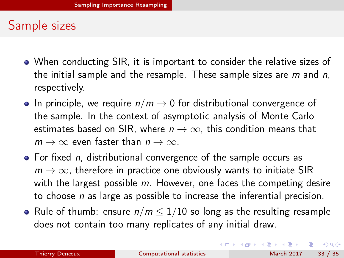#### <span id="page-32-0"></span>Sample sizes

- When conducting SIR, it is important to consider the relative sizes of the initial sample and the resample. These sample sizes are  $m$  and  $n$ , respectively.
- In principle, we require  $n/m \rightarrow 0$  for distributional convergence of the sample. In the context of asymptotic analysis of Monte Carlo estimates based on SIR, where  $n \to \infty$ , this condition means that  $m \to \infty$  even faster than  $n \to \infty$ .
- $\bullet$  For fixed *n*, distributional convergence of the sample occurs as  $m \to \infty$ , therefore in practice one obviously wants to initiate SIR with the largest possible  $m$ . However, one faces the competing desire to choose  $n$  as large as possible to increase the inferential precision.
- Rule of thumb: ensure  $n/m \leq 1/10$  so long as the resulting resample does not contain too many replicates of any initial draw.

÷.

 $QQ$ 

イロト イ押ト イヨト イヨト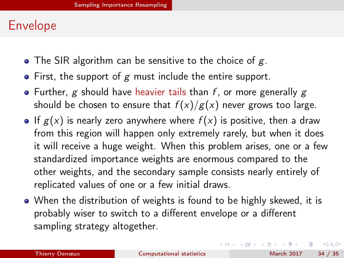## <span id="page-33-0"></span>Envelope

- The SIR algorithm can be sensitive to the choice of  $g$ .
- $\bullet$  First, the support of g must include the entire support.
- Further, g should have heavier tails than f, or more generally g should be chosen to ensure that  $f(x)/g(x)$  never grows too large.
- If  $g(x)$  is nearly zero anywhere where  $f(x)$  is positive, then a draw from this region will happen only extremely rarely, but when it does it will receive a huge weight. When this problem arises, one or a few standardized importance weights are enormous compared to the other weights, and the secondary sample consists nearly entirely of replicated values of one or a few initial draws.
- When the distribution of weights is found to be highly skewed, it is probably wiser to switch to a different envelope or a different sampling strategy altogether.

÷.

 $QQ$ 

キロメ メ都 メメ きょうくぼう